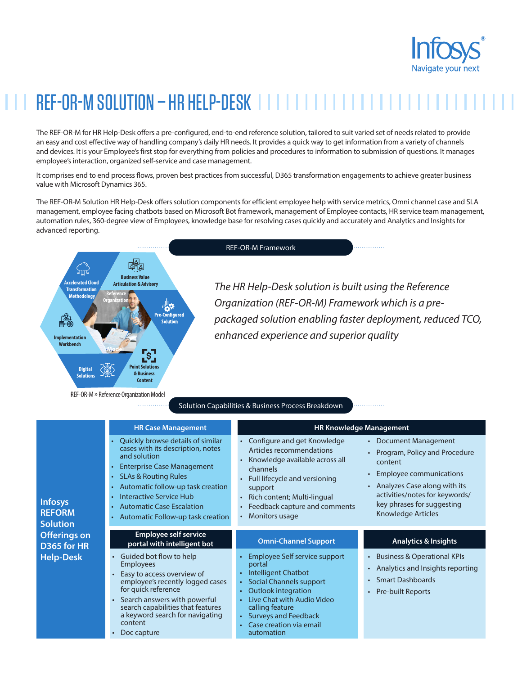

# REF-OR-M SOLUTION – HR HELP-DESK

The REF-OR-M for HR Help-Desk offers a pre-configured, end-to-end reference solution, tailored to suit varied set of needs related to provide an easy and cost effective way of handling company's daily HR needs. It provides a quick way to get information from a variety of channels and devices. It is your Employee's first stop for everything from policies and procedures to information to submission of questions. It manages employee's interaction, organized self-service and case management.

It comprises end to end process flows, proven best practices from successful, D365 transformation engagements to achieve greater business value with Microsoft Dynamics 365.

The REF-OR-M Solution HR Help-Desk offers solution components for efficient employee help with service metrics, Omni channel case and SLA management, employee facing chatbots based on Microsoft Bot framework, management of Employee contacts, HR service team management, automation rules, 360-degree view of Employees, knowledge base for resolving cases quickly and accurately and Analytics and Insights for advanced reporting.



REF-OR-M Framework

*The HR Help-Desk solution is built using the Reference Organization (REF-OR-M) Framework which is a prepackaged solution enabling faster deployment, reduced TCO, enhanced experience and superior quality*

#### Solution Capabilities & Business Process Breakdown

| <b>Infosys</b><br><b>REFORM</b><br><b>Solution</b><br><b>Offerings on</b><br>D365 for HR<br><b>Help-Desk</b> | <b>HR Case Management</b>                                                                                                                                                                                                                                                                                      | <b>HR Knowledge Management</b>                                                                                                                                                                                                                                |                                                                                                                                                                                                                                       |
|--------------------------------------------------------------------------------------------------------------|----------------------------------------------------------------------------------------------------------------------------------------------------------------------------------------------------------------------------------------------------------------------------------------------------------------|---------------------------------------------------------------------------------------------------------------------------------------------------------------------------------------------------------------------------------------------------------------|---------------------------------------------------------------------------------------------------------------------------------------------------------------------------------------------------------------------------------------|
|                                                                                                              | Quickly browse details of similar<br>cases with its description, notes<br>and solution<br><b>Enterprise Case Management</b><br><b>SLAs &amp; Routing Rules</b><br>Automatic follow-up task creation<br><b>Interactive Service Hub</b><br><b>Automatic Case Escalation</b><br>Automatic Follow-up task creation | Configure and get Knowledge<br>Articles recommendations<br>Knowledge available across all<br>channels<br>Full lifecycle and versioning<br>support<br>Rich content; Multi-lingual<br>Feedback capture and comments<br>Monitors usage                           | <b>Document Management</b><br>Program, Policy and Procedure<br>content<br><b>Employee communications</b><br>Analyzes Case along with its<br>activities/notes for keywords/<br>key phrases for suggesting<br><b>Knowledge Articles</b> |
|                                                                                                              | <b>Employee self service</b><br>portal with intelligent bot                                                                                                                                                                                                                                                    | <b>Omni-Channel Support</b>                                                                                                                                                                                                                                   | <b>Analytics &amp; Insights</b>                                                                                                                                                                                                       |
|                                                                                                              | Guided bot flow to help<br><b>Employees</b><br>Easy to access overview of<br>employee's recently logged cases<br>for quick reference<br>Search answers with powerful<br>search capabilities that features<br>a keyword search for navigating<br>content<br>Doc capture                                         | Employee Self service support<br>portal<br>Intelligent Chatbot<br>Social Channels support<br>٠<br><b>Outlook integration</b><br>Live Chat with Audio Video<br>$\bullet$<br>calling feature<br>• Surveys and Feedback<br>Case creation via email<br>automation | <b>Business &amp; Operational KPIs</b><br>$\bullet$<br>Analytics and Insights reporting<br>$\bullet$<br><b>Smart Dashboards</b><br><b>Pre-built Reports</b>                                                                           |